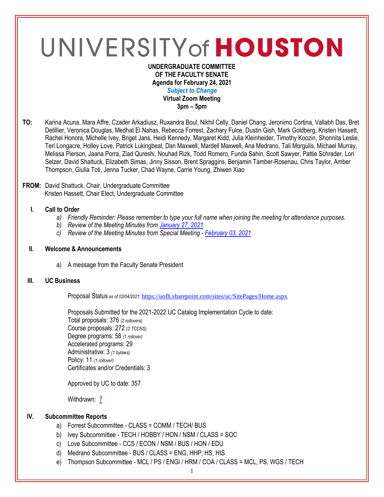# UNIVERSITY of HOUSTON

#### **UNDERGRADUATE COMMITTEE OF THE FACULTY SENATE Agenda for February 24, 2021** *Subject to Change* **Virtual Zoom Meeting 3pm – 5pm**

**TO:** Karina Acuna, Mara Affre, Czader Arkadiusz, Ruxandra Boul, Nikhil Celly, Daniel Chang, Jeronimo Cortina, Vallabh Das, Bret Detillier, Veronica Douglas, Medhat El Nahas, Rebecca Forrest, Zachary Fulce, Dustin Gish, Mark Goldberg, Kristen Hassett, Rachel Honora, Michelle Ivey, Briget Jans, Heidi Kennedy, Margaret Kidd, Julia Kleinheider, Timothy Koozin, Shonnita Leslie, Teri Longacre, Holley Love, Patrick Lukingbeal, Dan Maxwell, Mardell Maxwell, Ana Medrano, Tali Morgulis, Michael Murray, Melissa Pierson, Jaana Porra, Ziad Qureshi, Nouhad Rizk, Todd Romero, Funda Sahin, Scott Sawyer, Pattie Schrader, Lori Selzer, David Shattuck, Elizabeth Simas, Jinny Sisson, Brent Spraggins, Benjamin Tamber-Rosenau, Chris Taylor, Amber Thompson, Giulia Toti, Jenna Tucker, Chad Wayne, Carrie Young, Zhiwen Xiao

## **FROM:** David Shattuck, Chair, Undergraduate Committee Kristen Hassett, Chair Elect, Undergraduate Committee

# **I. Call to Order**

- *a) Friendly Reminder: Please remember to type your full name when joining the meeting for attendance purposes.*
- *b) Review of the Meeting Minutes from [January 27, 2021](https://uh.edu/undergraduate-committee/meetings/agendas-minutes/ay-2021/m_2021_01272.pdf)*
- *c) Review of the Meeting Minutes from Special Meeting - [February 03, 2021](https://uh.edu/undergraduate-committee/meetings/agendas-minutes/ay-2021/m_2021_02033.pdf)*

#### **II. Welcome & Announcements**

a) A message from the Faculty Senate President

# **III. UC Business**

Proposal Status *as of 02/04/2021:* <https://uofh.sharepoint.com/sites/uc/SitePages/Home.aspx>

Proposals Submitted for the 2021-2022 UC Catalog Implementation Cycle to date: Total proposals: 376 *(2 rollovers)* Course proposals: 272 *(2 TCCNS)* Degree programs: 58 *(1 rollover)* Accelerated programs: 29 Administrative: 3 *(1 bylaws)* Policy: 11 *(1 rollover)* Certificates and/or Credentials: 3

Approved by UC to date: 357

Withdrawn: [7](https://uofh.sharepoint.com/sites/uc/Lists/ProposalSubmissionAndTracking/Submitted%20Proposals%20%20Current%20Year%20%20Grouped.aspx?FilterField1=Proposal%5Fx0020%5FStatus&FilterValue1=Withdrawn%20%2D%20See%20Proposal%20Notes&FilterType1=Choice&viewid=3e8f7d7c%2Dd8a4%2D43cd%2D8f0e%2D60cc2ac81fe6)

# **IV. Subcommittee Reports**

- a) Forrest Subcommittee CLASS = COMM / TECH/ BUS
- b) Ivey Subcommittee TECH / HOBBY / HON / NSM / CLASS = SOC
- c) Love Subcommittee CCS / ECON / NSM / BUS / HON / EDU
- d) Medrano Subcommittee BUS / CLASS = ENG, HHP, HS, HIS
- e) Thompson Subcommittee MCL / PS / ENGI / HRM / COA / CLASS = MCL, PS, WGS / TECH